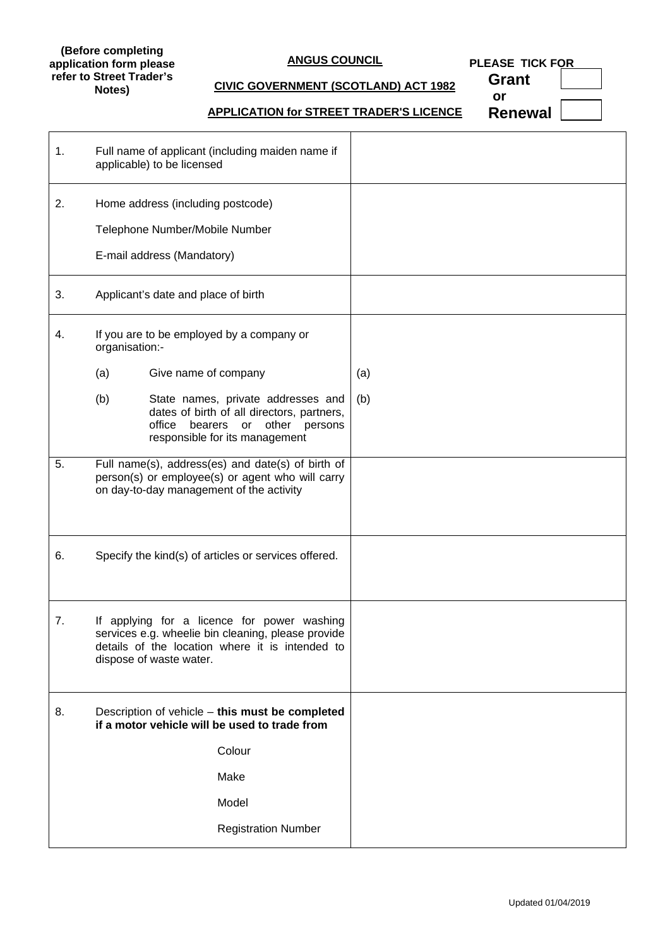#### **(Before completing application form please refer to Street Trader's Notes)**

# **ANGUS COUNCIL**

**PLEASE TICK FOR** 

# **CIVIC GOVERNMENT (SCOTLAND) ACT 1982**

**Grant or**

# **APPLICATION for STREET TRADER'S LICENCE**

**Renewal**

| 1. | Full name of applicant (including maiden name if<br>applicable) to be licensed                                                                                                  |     |
|----|---------------------------------------------------------------------------------------------------------------------------------------------------------------------------------|-----|
| 2. | Home address (including postcode)<br>Telephone Number/Mobile Number<br>E-mail address (Mandatory)                                                                               |     |
|    |                                                                                                                                                                                 |     |
| 3. | Applicant's date and place of birth                                                                                                                                             |     |
| 4. | If you are to be employed by a company or<br>organisation:-                                                                                                                     |     |
|    | (a)<br>Give name of company                                                                                                                                                     | (a) |
|    | (b)<br>State names, private addresses and<br>dates of birth of all directors, partners,<br>office<br>or other persons<br>bearers<br>responsible for its management              | (b) |
| 5. | Full name(s), address(es) and date(s) of birth of<br>person(s) or employee(s) or agent who will carry<br>on day-to-day management of the activity                               |     |
| 6. | Specify the kind(s) of articles or services offered.                                                                                                                            |     |
| 7. | If applying for a licence for power washing<br>services e.g. wheelie bin cleaning, please provide<br>details of the location where it is intended to<br>dispose of waste water. |     |
| 8. | Description of vehicle - this must be completed<br>if a motor vehicle will be used to trade from                                                                                |     |
|    | Colour                                                                                                                                                                          |     |
|    | Make                                                                                                                                                                            |     |
|    | Model                                                                                                                                                                           |     |
|    | <b>Registration Number</b>                                                                                                                                                      |     |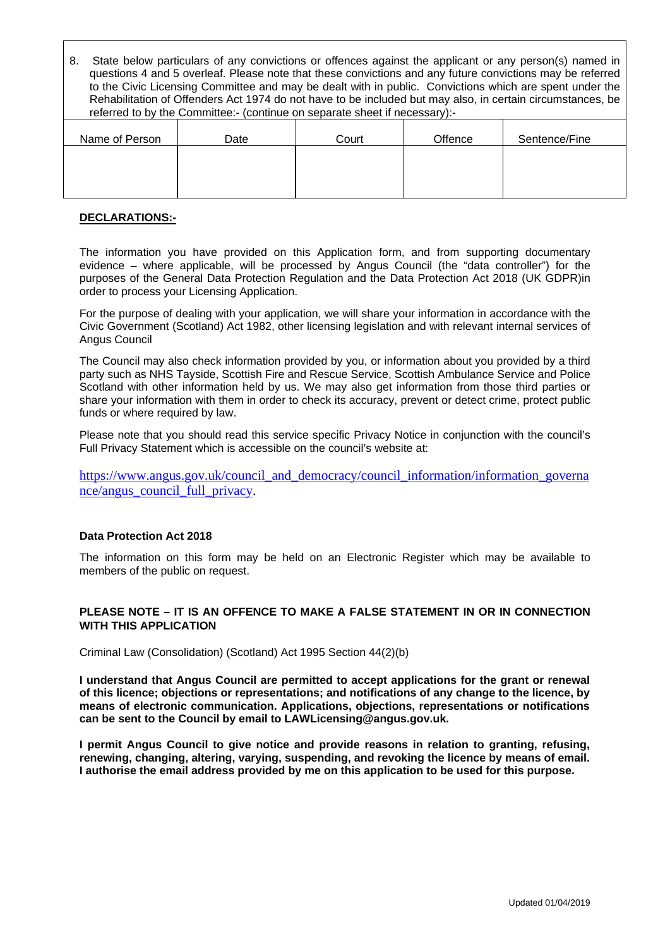8. State below particulars of any convictions or offences against the applicant or any person(s) named in questions 4 and 5 overleaf. Please note that these convictions and any future convictions may be referred to the Civic Licensing Committee and may be dealt with in public. Convictions which are spent under the Rehabilitation of Offenders Act 1974 do not have to be included but may also, in certain circumstances, be referred to by the Committee:- (continue on separate sheet if necessary):-

| Name of Person | Date | Court | Offence | Sentence/Fine |
|----------------|------|-------|---------|---------------|
|                |      |       |         |               |
|                |      |       |         |               |
|                |      |       |         |               |

## **DECLARATIONS:-**

The information you have provided on this Application form, and from supporting documentary evidence – where applicable, will be processed by Angus Council (the "data controller") for the purposes of the General Data Protection Regulation and the Data Protection Act 2018 (UK GDPR)in order to process your Licensing Application.

For the purpose of dealing with your application, we will share your information in accordance with the Civic Government (Scotland) Act 1982, other licensing legislation and with relevant internal services of Angus Council

The Council may also check information provided by you, or information about you provided by a third party such as NHS Tayside, Scottish Fire and Rescue Service, Scottish Ambulance Service and Police Scotland with other information held by us. We may also get information from those third parties or share your information with them in order to check its accuracy, prevent or detect crime, protect public funds or where required by law.

Please note that you should read this service specific Privacy Notice in conjunction with the council's Full Privacy Statement which is accessible on the council's website at:

[https://www.angus.gov.uk/council\\_and\\_democracy/council\\_information/information\\_governa](https://www.angus.gov.uk/council_and_democracy/council_information/information_governance/angus_council_full_privacy) [nce/angus\\_council\\_full\\_privacy.](https://www.angus.gov.uk/council_and_democracy/council_information/information_governance/angus_council_full_privacy)

#### **Data Protection Act 2018**

The information on this form may be held on an Electronic Register which may be available to members of the public on request.

#### **PLEASE NOTE – IT IS AN OFFENCE TO MAKE A FALSE STATEMENT IN OR IN CONNECTION WITH THIS APPLICATION**

Criminal Law (Consolidation) (Scotland) Act 1995 Section 44(2)(b)

**I understand that Angus Council are permitted to accept applications for the grant or renewal of this licence; objections or representations; and notifications of any change to the licence, by means of electronic communication. Applications, objections, representations or notifications can be sent to the Council by email to [LAWLicensing@angus.gov.uk.](mailto:LAWLicensing@angus.gov.uk)**

**I permit Angus Council to give notice and provide reasons in relation to granting, refusing, renewing, changing, altering, varying, suspending, and revoking the licence by means of email. I authorise the email address provided by me on this application to be used for this purpose.**